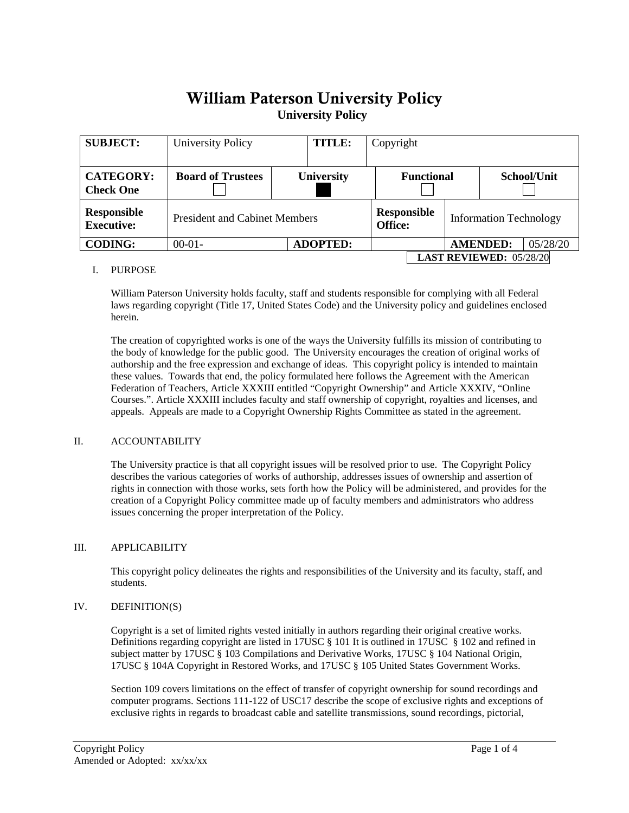# William Paterson University Policy**University Policy**

| <b>SUBJECT:</b>                         | <b>TITLE:</b><br>University Policy   |                   |                                      | Copyright |                               |                 |          |  |
|-----------------------------------------|--------------------------------------|-------------------|--------------------------------------|-----------|-------------------------------|-----------------|----------|--|
| <b>CATEGORY:</b><br><b>Check One</b>    | <b>Board of Trustees</b>             | <b>University</b> | <b>Functional</b>                    |           |                               | School/Unit     |          |  |
| <b>Responsible</b><br><b>Executive:</b> | <b>President and Cabinet Members</b> |                   | <b>Responsible</b><br><b>Office:</b> |           | <b>Information Technology</b> |                 |          |  |
| <b>CODING:</b>                          | $00-01-$                             | <b>ADOPTED:</b>   |                                      |           |                               | <b>AMENDED:</b> | 05/28/20 |  |
|                                         | <b>LAST REVIEWED: 05/28/20</b>       |                   |                                      |           |                               |                 |          |  |

### I. PURPOSE

William Paterson University holds faculty, staff and students responsible for complying with all Federal laws regarding copyright (Title 17, United States Code) and the University policy and guidelines enclosed herein.

The creation of copyrighted works is one of the ways the University fulfills its mission of contributing to the body of knowledge for the public good. The University encourages the creation of original works of authorship and the free expression and exchange of ideas. This copyright policy is intended to maintain these values. Towards that end, the policy formulated here follows the Agreement with the American Federation of Teachers, Article XXXIII entitled "Copyright Ownership" and Article XXXIV, "Online Courses.". Article XXXIII includes faculty and staff ownership of copyright, royalties and licenses, and appeals. Appeals are made to a Copyright Ownership Rights Committee as stated in the agreement.

## II. ACCOUNTABILITY

The University practice is that all copyright issues will be resolved prior to use. The Copyright Policy describes the various categories of works of authorship, addresses issues of ownership and assertion of rights in connection with those works, sets forth how the Policy will be administered, and provides for the creation of a Copyright Policy committee made up of faculty members and administrators who address issues concerning the proper interpretation of the Policy.

## III. APPLICABILITY

This copyright policy delineates the rights and responsibilities of the University and its faculty, staff, and students.

### IV. DEFINITION(S)

Copyright is a set of limited rights vested initially in authors regarding their original creative works. Definitions regarding copyright are listed in 17USC § 101 It is outlined in 17USC § 102 and refined in subject matter by 17USC § 103 Compilations and Derivative Works, 17USC § 104 National Origin, 17USC § 104A Copyright in Restored Works, and 17USC § 105 United States Government Works.

Section 109 covers limitations on the effect of transfer of copyright ownership for sound recordings and computer programs. Sections 111-122 of USC17 describe the scope of exclusive rights and exceptions of exclusive rights in regards to broadcast cable and satellite transmissions, sound recordings, pictorial,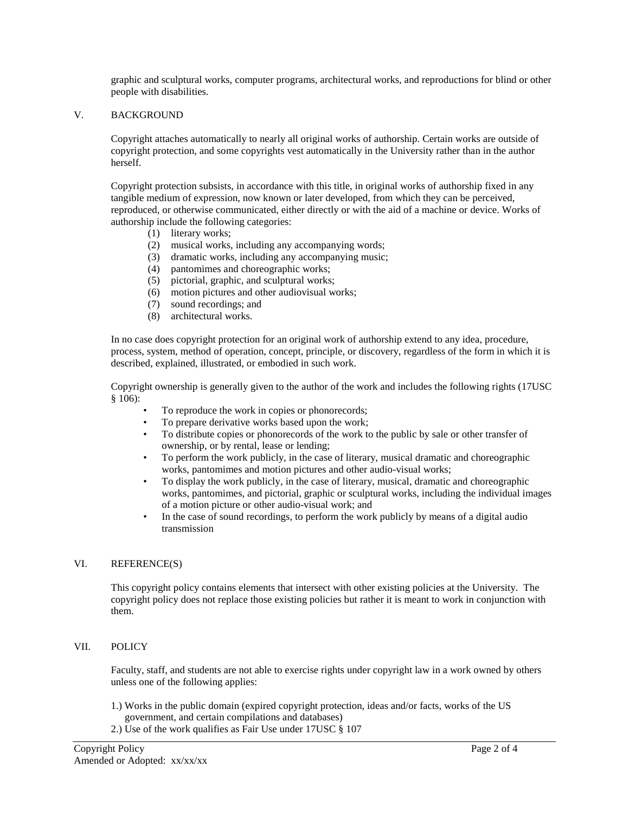graphic and sculptural works, computer programs, architectural works, and reproductions for blind or other people with disabilities.

#### V. BACKGROUND

Copyright attaches automatically to nearly all original works of authorship. Certain works are outside of copyright protection, and some copyrights vest automatically in the University rather than in the author herself.

Copyright protection subsists, in accordance with this title, in original works of authorship fixed in any tangible medium of expression, now known or later developed, from which they can be perceived, reproduced, or otherwise communicated, either directly or with the aid of a machine or device. Works of authorship include the following categories:

- (1) literary works;
- (2) musical works, including any accompanying words;
- (3) dramatic works, including any accompanying music;
- (4) pantomimes and choreographic works;
- (5) pictorial, graphic, and sculptural works;
- (6) motion pictures and other audiovisual works;
- (7) sound recordings; and
- (8) architectural works.

In no case does copyright protection for an original work of authorship extend to any idea, procedure, process, system, method of operation, concept, principle, or discovery, regardless of the form in which it is described, explained, illustrated, or embodied in such work.

Copyright ownership is generally given to the author of the work and includes the following rights (17USC § 106):

- To reproduce the work in copies or phonorecords;
- To prepare derivative works based upon the work;
- To distribute copies or phonorecords of the work to the public by sale or other transfer of ownership, or by rental, lease or lending;
- To perform the work publicly, in the case of literary, musical dramatic and choreographic works, pantomimes and motion pictures and other audio-visual works;
- To display the work publicly, in the case of literary, musical, dramatic and choreographic works, pantomimes, and pictorial, graphic or sculptural works, including the individual images of a motion picture or other audio-visual work; and
- In the case of sound recordings, to perform the work publicly by means of a digital audio transmission

### VI. REFERENCE(S)

This copyright policy contains elements that intersect with other existing policies at the University. The copyright policy does not replace those existing policies but rather it is meant to work in conjunction with them.

### VII. POLICY

Faculty, staff, and students are not able to exercise rights under copyright law in a work owned by others unless one of the following applies:

- 1.) Works in the public domain (expired copyright protection, ideas and/or facts, works of the US government, and certain compilations and databases)
- 2.) Use of the work qualifies as Fair Use under 17USC § 107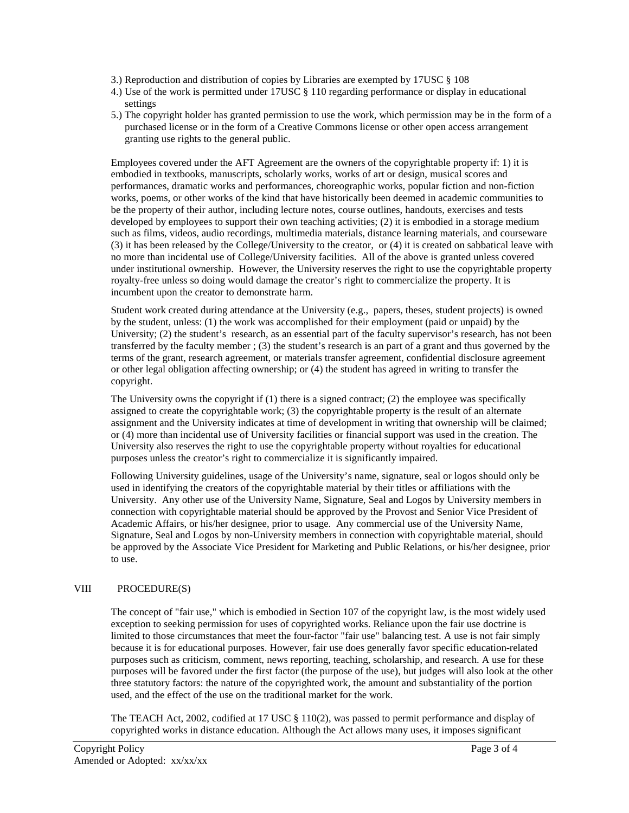- 3.) Reproduction and distribution of copies by Libraries are exempted by 17USC § 108
- 4.) Use of the work is permitted under 17USC § 110 regarding performance or display in educational settings
- 5.) The copyright holder has granted permission to use the work, which permission may be in the form of a purchased license or in the form of a Creative Commons license or other open access arrangement granting use rights to the general public.

Employees covered under the AFT Agreement are the owners of the copyrightable property if: 1) it is embodied in textbooks, manuscripts, scholarly works, works of art or design, musical scores and performances, dramatic works and performances, choreographic works, popular fiction and non-fiction works, poems, or other works of the kind that have historically been deemed in academic communities to be the property of their author, including lecture notes, course outlines, handouts, exercises and tests developed by employees to support their own teaching activities; (2) it is embodied in a storage medium such as films, videos, audio recordings, multimedia materials, distance learning materials, and courseware (3) it has been released by the College/University to the creator, or (4) it is created on sabbatical leave with no more than incidental use of College/University facilities. All of the above is granted unless covered under institutional ownership. However, the University reserves the right to use the copyrightable property royalty-free unless so doing would damage the creator's right to commercialize the property. It is incumbent upon the creator to demonstrate harm.

Student work created during attendance at the University (e.g., papers, theses, student projects) is owned by the student, unless: (1) the work was accomplished for their employment (paid or unpaid) by the University; (2) the student's research, as an essential part of the faculty supervisor's research, has not been transferred by the faculty member ; (3) the student's research is an part of a grant and thus governed by the terms of the grant, research agreement, or materials transfer agreement, confidential disclosure agreement or other legal obligation affecting ownership; or (4) the student has agreed in writing to transfer the copyright.

The University owns the copyright if (1) there is a signed contract; (2) the employee was specifically assigned to create the copyrightable work; (3) the copyrightable property is the result of an alternate assignment and the University indicates at time of development in writing that ownership will be claimed; or (4) more than incidental use of University facilities or financial support was used in the creation. The University also reserves the right to use the copyrightable property without royalties for educational purposes unless the creator's right to commercialize it is significantly impaired.

Following University guidelines, usage of the University's name, signature, seal or logos should only be used in identifying the creators of the copyrightable material by their titles or affiliations with the University. Any other use of the University Name, Signature, Seal and Logos by University members in connection with copyrightable material should be approved by the Provost and Senior Vice President of Academic Affairs, or his/her designee, prior to usage. Any commercial use of the University Name, Signature, Seal and Logos by non-University members in connection with copyrightable material, should be approved by the Associate Vice President for Marketing and Public Relations, or his/her designee, prior to use.

## VIII PROCEDURE(S)

The concept of "fair use," which is embodied in Section 107 of the copyright law, is the most widely used exception to seeking permission for uses of copyrighted works. Reliance upon the fair use doctrine is limited to those circumstances that meet the four-factor "fair use" balancing test. A use is not fair simply because it is for educational purposes. However, fair use does generally favor specific education-related purposes such as criticism, comment, news reporting, teaching, scholarship, and research. A use for these purposes will be favored under the first factor (the purpose of the use), but judges will also look at the other three statutory factors: the nature of the copyrighted work, the amount and substantiality of the portion used, and the effect of the use on the traditional market for the work.

The TEACH Act, 2002, codified at 17 USC § 110(2), was passed to permit performance and display of copyrighted works in distance education. Although the Act allows many uses, it imposes significant